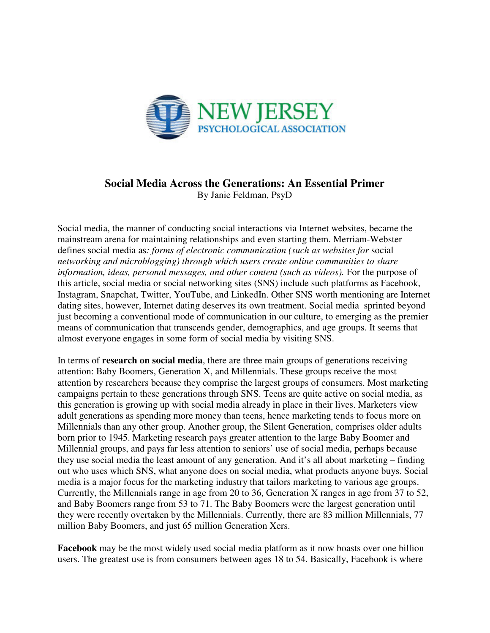

## **Social Media Across the Generations: An Essential Primer**

By Janie Feldman, PsyD

Social media, the manner of conducting social interactions via Internet websites, became the mainstream arena for maintaining relationships and even starting them. Merriam-Webster defines social media as*: forms of electronic communication (such as websites for* social *networking and microblogging) through which users create online communities to share*  information, ideas, personal messages, and other content (such as videos). For the purpose of this article, social media or social networking sites (SNS) include such platforms as Facebook, Instagram, Snapchat, Twitter, YouTube, and LinkedIn. Other SNS worth mentioning are Internet dating sites, however, Internet dating deserves its own treatment. Social media sprinted beyond just becoming a conventional mode of communication in our culture, to emerging as the premier means of communication that transcends gender, demographics, and age groups. It seems that almost everyone engages in some form of social media by visiting SNS.

In terms of **research on social media**, there are three main groups of generations receiving attention: Baby Boomers, Generation X, and Millennials. These groups receive the most attention by researchers because they comprise the largest groups of consumers. Most marketing campaigns pertain to these generations through SNS. Teens are quite active on social media, as this generation is growing up with social media already in place in their lives. Marketers view adult generations as spending more money than teens, hence marketing tends to focus more on Millennials than any other group. Another group, the Silent Generation, comprises older adults born prior to 1945. Marketing research pays greater attention to the large Baby Boomer and Millennial groups, and pays far less attention to seniors' use of social media, perhaps because they use social media the least amount of any generation. And it's all about marketing – finding out who uses which SNS, what anyone does on social media, what products anyone buys. Social media is a major focus for the marketing industry that tailors marketing to various age groups. Currently, the Millennials range in age from 20 to 36, Generation X ranges in age from 37 to 52, and Baby Boomers range from 53 to 71. The Baby Boomers were the largest generation until they were recently overtaken by the Millennials. Currently, there are 83 million Millennials, 77 million Baby Boomers, and just 65 million Generation Xers.

**Facebook** may be the most widely used social media platform as it now boasts over one billion users. The greatest use is from consumers between ages 18 to 54. Basically, Facebook is where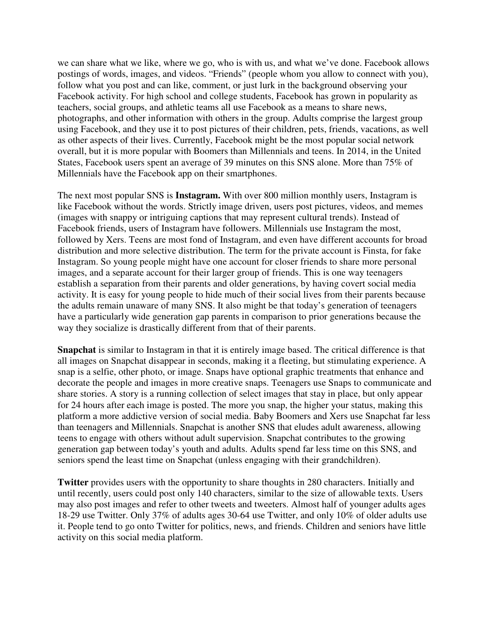we can share what we like, where we go, who is with us, and what we've done. Facebook allows postings of words, images, and videos. "Friends" (people whom you allow to connect with you), follow what you post and can like, comment, or just lurk in the background observing your Facebook activity. For high school and college students, Facebook has grown in popularity as teachers, social groups, and athletic teams all use Facebook as a means to share news, photographs, and other information with others in the group. Adults comprise the largest group using Facebook, and they use it to post pictures of their children, pets, friends, vacations, as well as other aspects of their lives. Currently, Facebook might be the most popular social network overall, but it is more popular with Boomers than Millennials and teens. In 2014, in the United States, Facebook users spent an average of 39 minutes on this SNS alone. More than 75% of Millennials have the Facebook app on their smartphones.

The next most popular SNS is **Instagram.** With over 800 million monthly users, Instagram is like Facebook without the words. Strictly image driven, users post pictures, videos, and memes (images with snappy or intriguing captions that may represent cultural trends). Instead of Facebook friends, users of Instagram have followers. Millennials use Instagram the most, followed by Xers. Teens are most fond of Instagram, and even have different accounts for broad distribution and more selective distribution. The term for the private account is Finsta, for fake Instagram. So young people might have one account for closer friends to share more personal images, and a separate account for their larger group of friends. This is one way teenagers establish a separation from their parents and older generations, by having covert social media activity. It is easy for young people to hide much of their social lives from their parents because the adults remain unaware of many SNS. It also might be that today's generation of teenagers have a particularly wide generation gap parents in comparison to prior generations because the way they socialize is drastically different from that of their parents.

**Snapchat** is similar to Instagram in that it is entirely image based. The critical difference is that all images on Snapchat disappear in seconds, making it a fleeting, but stimulating experience. A snap is a selfie, other photo, or image. Snaps have optional graphic treatments that enhance and decorate the people and images in more creative snaps. Teenagers use Snaps to communicate and share stories. A story is a running collection of select images that stay in place, but only appear for 24 hours after each image is posted. The more you snap, the higher your status, making this platform a more addictive version of social media. Baby Boomers and Xers use Snapchat far less than teenagers and Millennials. Snapchat is another SNS that eludes adult awareness, allowing teens to engage with others without adult supervision. Snapchat contributes to the growing generation gap between today's youth and adults. Adults spend far less time on this SNS, and seniors spend the least time on Snapchat (unless engaging with their grandchildren).

**Twitter** provides users with the opportunity to share thoughts in 280 characters. Initially and until recently, users could post only 140 characters, similar to the size of allowable texts. Users may also post images and refer to other tweets and tweeters. Almost half of younger adults ages 18-29 use Twitter. Only 37% of adults ages 30-64 use Twitter, and only 10% of older adults use it. People tend to go onto Twitter for politics, news, and friends. Children and seniors have little activity on this social media platform.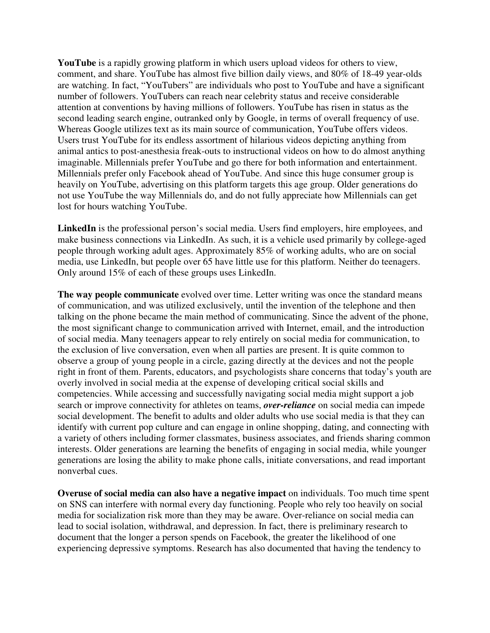**YouTube** is a rapidly growing platform in which users upload videos for others to view, comment, and share. YouTube has almost five billion daily views, and 80% of 18-49 year-olds are watching. In fact, "YouTubers" are individuals who post to YouTube and have a significant number of followers. YouTubers can reach near celebrity status and receive considerable attention at conventions by having millions of followers. YouTube has risen in status as the second leading search engine, outranked only by Google, in terms of overall frequency of use. Whereas Google utilizes text as its main source of communication, YouTube offers videos. Users trust YouTube for its endless assortment of hilarious videos depicting anything from animal antics to post-anesthesia freak-outs to instructional videos on how to do almost anything imaginable. Millennials prefer YouTube and go there for both information and entertainment. Millennials prefer only Facebook ahead of YouTube. And since this huge consumer group is heavily on YouTube, advertising on this platform targets this age group. Older generations do not use YouTube the way Millennials do, and do not fully appreciate how Millennials can get lost for hours watching YouTube.

LinkedIn is the professional person's social media. Users find employers, hire employees, and make business connections via LinkedIn. As such, it is a vehicle used primarily by college-aged people through working adult ages. Approximately 85% of working adults, who are on social media, use LinkedIn, but people over 65 have little use for this platform. Neither do teenagers. Only around 15% of each of these groups uses LinkedIn.

**The way people communicate** evolved over time. Letter writing was once the standard means of communication, and was utilized exclusively, until the invention of the telephone and then talking on the phone became the main method of communicating. Since the advent of the phone, the most significant change to communication arrived with Internet, email, and the introduction of social media. Many teenagers appear to rely entirely on social media for communication, to the exclusion of live conversation, even when all parties are present. It is quite common to observe a group of young people in a circle, gazing directly at the devices and not the people right in front of them. Parents, educators, and psychologists share concerns that today's youth are overly involved in social media at the expense of developing critical social skills and competencies. While accessing and successfully navigating social media might support a job search or improve connectivity for athletes on teams, *over-reliance* on social media can impede social development. The benefit to adults and older adults who use social media is that they can identify with current pop culture and can engage in online shopping, dating, and connecting with a variety of others including former classmates, business associates, and friends sharing common interests. Older generations are learning the benefits of engaging in social media, while younger generations are losing the ability to make phone calls, initiate conversations, and read important nonverbal cues.

**Overuse of social media can also have a negative impact** on individuals. Too much time spent on SNS can interfere with normal every day functioning. People who rely too heavily on social media for socialization risk more than they may be aware. Over-reliance on social media can lead to social isolation, withdrawal, and depression. In fact, there is preliminary research to document that the longer a person spends on Facebook, the greater the likelihood of one experiencing depressive symptoms. Research has also documented that having the tendency to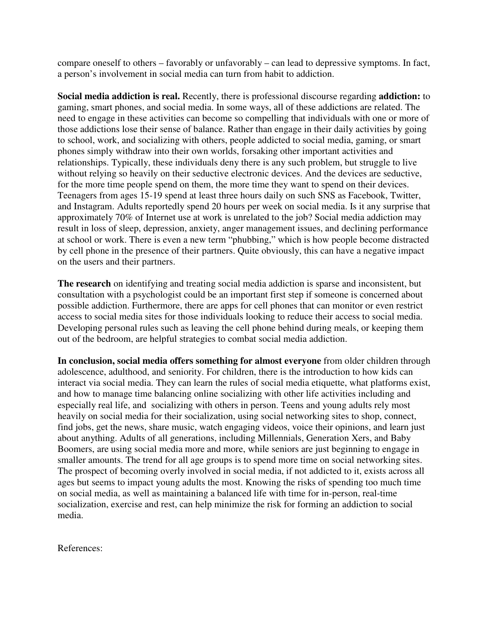compare oneself to others – favorably or unfavorably – can lead to depressive symptoms. In fact, a person's involvement in social media can turn from habit to addiction.

**Social media addiction is real.** Recently, there is professional discourse regarding **addiction:** to gaming, smart phones, and social media. In some ways, all of these addictions are related. The need to engage in these activities can become so compelling that individuals with one or more of those addictions lose their sense of balance. Rather than engage in their daily activities by going to school, work, and socializing with others, people addicted to social media, gaming, or smart phones simply withdraw into their own worlds, forsaking other important activities and relationships. Typically, these individuals deny there is any such problem, but struggle to live without relying so heavily on their seductive electronic devices. And the devices are seductive, for the more time people spend on them, the more time they want to spend on their devices. Teenagers from ages 15-19 spend at least three hours daily on such SNS as Facebook, Twitter, and Instagram. Adults reportedly spend 20 hours per week on social media. Is it any surprise that approximately 70% of Internet use at work is unrelated to the job? Social media addiction may result in loss of sleep, depression, anxiety, anger management issues, and declining performance at school or work. There is even a new term "phubbing," which is how people become distracted by cell phone in the presence of their partners. Quite obviously, this can have a negative impact on the users and their partners.

**The research** on identifying and treating social media addiction is sparse and inconsistent, but consultation with a psychologist could be an important first step if someone is concerned about possible addiction. Furthermore, there are apps for cell phones that can monitor or even restrict access to social media sites for those individuals looking to reduce their access to social media. Developing personal rules such as leaving the cell phone behind during meals, or keeping them out of the bedroom, are helpful strategies to combat social media addiction.

**In conclusion, social media offers something for almost everyone** from older children through adolescence, adulthood, and seniority. For children, there is the introduction to how kids can interact via social media. They can learn the rules of social media etiquette, what platforms exist, and how to manage time balancing online socializing with other life activities including and especially real life, and socializing with others in person. Teens and young adults rely most heavily on social media for their socialization, using social networking sites to shop, connect, find jobs, get the news, share music, watch engaging videos, voice their opinions, and learn just about anything. Adults of all generations, including Millennials, Generation Xers, and Baby Boomers, are using social media more and more, while seniors are just beginning to engage in smaller amounts. The trend for all age groups is to spend more time on social networking sites. The prospect of becoming overly involved in social media, if not addicted to it, exists across all ages but seems to impact young adults the most. Knowing the risks of spending too much time on social media, as well as maintaining a balanced life with time for in-person, real-time socialization, exercise and rest, can help minimize the risk for forming an addiction to social media.

References: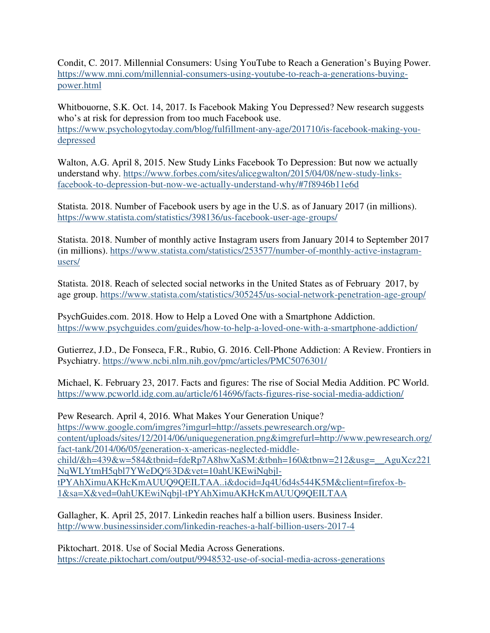Condit, C. 2017. Millennial Consumers: Using YouTube to Reach a Generation's Buying Power. https://www.mni.com/millennial-consumers-using-youtube-to-reach-a-generations-buyingpower.html

Whitbouorne, S.K. Oct. 14, 2017. Is Facebook Making You Depressed? New research suggests who's at risk for depression from too much Facebook use. https://www.psychologytoday.com/blog/fulfillment-any-age/201710/is-facebook-making-youdepressed

Walton, A.G. April 8, 2015. New Study Links Facebook To Depression: But now we actually understand why. https://www.forbes.com/sites/alicegwalton/2015/04/08/new-study-linksfacebook-to-depression-but-now-we-actually-understand-why/#7f8946b11e6d

Statista. 2018. Number of Facebook users by age in the U.S. as of January 2017 (in millions). https://www.statista.com/statistics/398136/us-facebook-user-age-groups/

Statista. 2018. Number of monthly active Instagram users from January 2014 to September 2017 (in millions). https://www.statista.com/statistics/253577/number-of-monthly-active-instagramusers/

Statista. 2018. Reach of selected social networks in the United States as of February 2017, by age group. https://www.statista.com/statistics/305245/us-social-network-penetration-age-group/

PsychGuides.com. 2018. How to Help a Loved One with a Smartphone Addiction. https://www.psychguides.com/guides/how-to-help-a-loved-one-with-a-smartphone-addiction/

Gutierrez, J.D., De Fonseca, F.R., Rubio, G. 2016. Cell-Phone Addiction: A Review. Frontiers in Psychiatry. https://www.ncbi.nlm.nih.gov/pmc/articles/PMC5076301/

Michael, K. February 23, 2017. Facts and figures: The rise of Social Media Addition. PC World. https://www.pcworld.idg.com.au/article/614696/facts-figures-rise-social-media-addiction/

Pew Research. April 4, 2016. What Makes Your Generation Unique? https://www.google.com/imgres?imgurl=http://assets.pewresearch.org/wpcontent/uploads/sites/12/2014/06/uniquegeneration.png&imgrefurl=http://www.pewresearch.org/ fact-tank/2014/06/05/generation-x-americas-neglected-middlechild/&h=439&w=584&tbnid=fdeRp7A8hwXaSM:&tbnh=160&tbnw=212&usg=\_\_AguXcz221 NqWLYtmH5qbl7YWeDQ%3D&vet=10ahUKEwiNqbjltPYAhXimuAKHcKmAUUQ9QEILTAA..i&docid=Jq4U6d4s544K5M&client=firefox-b-1&sa=X&ved=0ahUKEwiNqbjl-tPYAhXimuAKHcKmAUUQ9QEILTAA

Gallagher, K. April 25, 2017. Linkedin reaches half a billion users. Business Insider. http://www.businessinsider.com/linkedin-reaches-a-half-billion-users-2017-4

Piktochart. 2018. Use of Social Media Across Generations. https://create.piktochart.com/output/9948532-use-of-social-media-across-generations